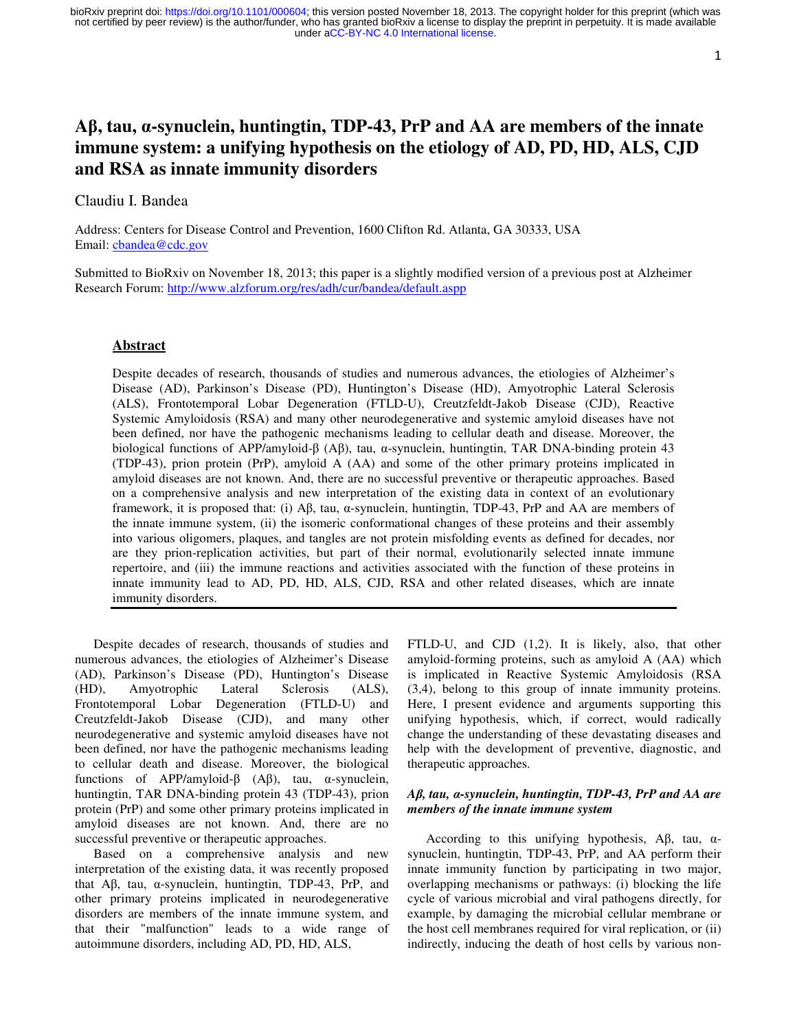# **A**β**, tau,** α**-synuclein, huntingtin, TDP-43, PrP and AA are members of the innate immune system: a unifying hypothesis on the etiology of AD, PD, HD, ALS, CJD and RSA as innate immunity disorders**

# Claudiu I. Bandea

Address: Centers for Disease Control and Prevention, 1600 Clifton Rd. Atlanta, GA 30333, USA Email: cbandea@cdc.gov

Submitted to BioRxiv on November 18, 2013; this paper is a slightly modified version of a previous post at Alzheimer Research Forum: http://www.alzforum.org/res/adh/cur/bandea/default.aspp

### **Abstract**

Despite decades of research, thousands of studies and numerous advances, the etiologies of Alzheimer's Disease (AD), Parkinson's Disease (PD), Huntington's Disease (HD), Amyotrophic Lateral Sclerosis (ALS), Frontotemporal Lobar Degeneration (FTLD-U), Creutzfeldt-Jakob Disease (CJD), Reactive Systemic Amyloidosis (RSA) and many other neurodegenerative and systemic amyloid diseases have not been defined, nor have the pathogenic mechanisms leading to cellular death and disease. Moreover, the biological functions of APP/amyloid-β (Aβ), tau, α-synuclein, huntingtin, TAR DNA-binding protein 43 (TDP-43), prion protein (PrP), amyloid A (AA) and some of the other primary proteins implicated in amyloid diseases are not known. And, there are no successful preventive or therapeutic approaches. Based on a comprehensive analysis and new interpretation of the existing data in context of an evolutionary framework, it is proposed that: (i) Aβ, tau, α-synuclein, huntingtin, TDP-43, PrP and AA are members of the innate immune system, (ii) the isomeric conformational changes of these proteins and their assembly into various oligomers, plaques, and tangles are not protein misfolding events as defined for decades, nor are they prion-replication activities, but part of their normal, evolutionarily selected innate immune repertoire, and (iii) the immune reactions and activities associated with the function of these proteins in innate immunity lead to AD, PD, HD, ALS, CJD, RSA and other related diseases, which are innate immunity disorders.

Despite decades of research, thousands of studies and numerous advances, the etiologies of Alzheimer's Disease (AD), Parkinson's Disease (PD), Huntington's Disease (HD), Amyotrophic Lateral Sclerosis (ALS), (HD), Amyotrophic Lateral Sclerosis (ALS), Frontotemporal Lobar Degeneration (FTLD-U) and Creutzfeldt-Jakob Disease (CJD), and many other neurodegenerative and systemic amyloid diseases have not been defined, nor have the pathogenic mechanisms leading to cellular death and disease. Moreover, the biological functions of APP/amyloid-β (Aβ), tau, α-synuclein, huntingtin, TAR DNA-binding protein 43 (TDP-43), prion protein (PrP) and some other primary proteins implicated in amyloid diseases are not known. And, there are no successful preventive or therapeutic approaches.

Based on a comprehensive analysis and new interpretation of the existing data, it was recently proposed that Aβ, tau, α-synuclein, huntingtin, TDP-43, PrP, and other primary proteins implicated in neurodegenerative disorders are members of the innate immune system, and that their "malfunction" leads to a wide range of autoimmune disorders, including AD, PD, HD, ALS,

FTLD-U, and CJD (1,2). It is likely, also, that other amyloid-forming proteins, such as amyloid A (AA) which is implicated in Reactive Systemic Amyloidosis (RSA (3,4), belong to this group of innate immunity proteins. Here, I present evidence and arguments supporting this unifying hypothesis, which, if correct, would radically change the understanding of these devastating diseases and help with the development of preventive, diagnostic, and therapeutic approaches.

# *A*β*, tau,* α*-synuclein, huntingtin, TDP-43, PrP and AA are members of the innate immune system*

According to this unifying hypothesis,  $\text{A}\beta$ , tau,  $\alpha$ synuclein, huntingtin, TDP-43, PrP, and AA perform their innate immunity function by participating in two major, overlapping mechanisms or pathways: (i) blocking the life cycle of various microbial and viral pathogens directly, for example, by damaging the microbial cellular membrane or the host cell membranes required for viral replication, or (ii) indirectly, inducing the death of host cells by various non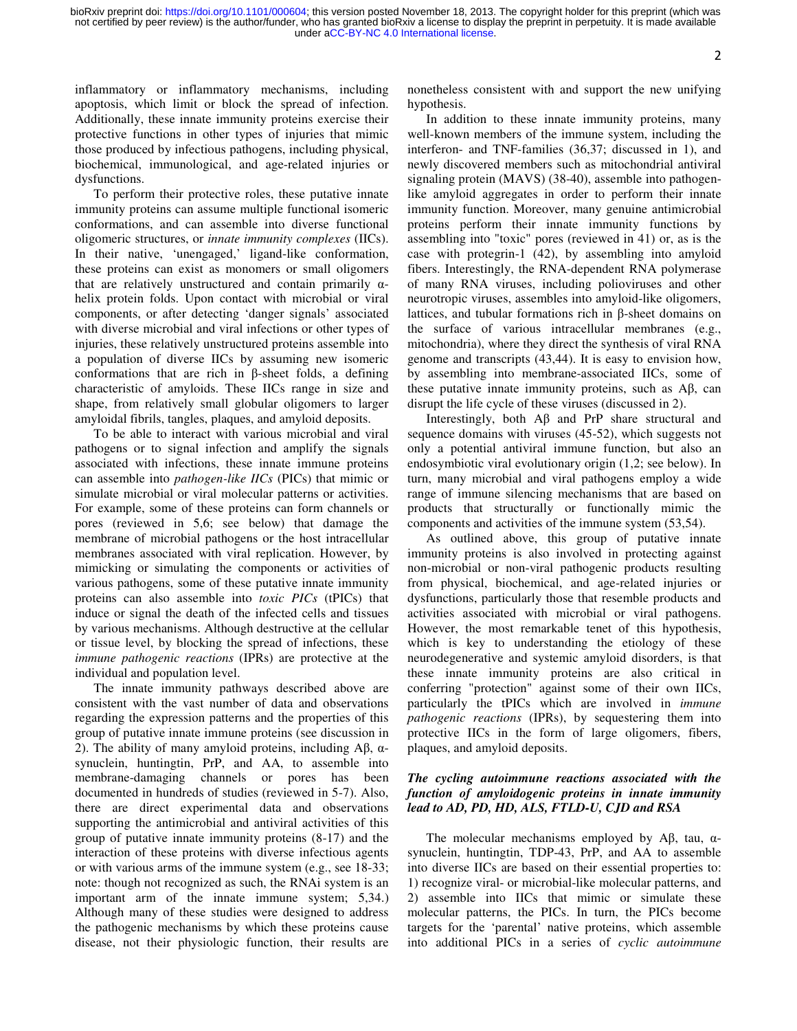inflammatory or inflammatory mechanisms, including apoptosis, which limit or block the spread of infection. Additionally, these innate immunity proteins exercise their protective functions in other types of injuries that mimic those produced by infectious pathogens, including physical, biochemical, immunological, and age-related injuries or dysfunctions.

To perform their protective roles, these putative innate immunity proteins can assume multiple functional isomeric conformations, and can assemble into diverse functional oligomeric structures, or *innate immunity complexes* (IICs). In their native, 'unengaged,' ligand-like conformation, these proteins can exist as monomers or small oligomers that are relatively unstructured and contain primarily  $α$ helix protein folds. Upon contact with microbial or viral components, or after detecting 'danger signals' associated with diverse microbial and viral infections or other types of injuries, these relatively unstructured proteins assemble into a population of diverse IICs by assuming new isomeric conformations that are rich in β-sheet folds, a defining characteristic of amyloids. These IICs range in size and shape, from relatively small globular oligomers to larger amyloidal fibrils, tangles, plaques, and amyloid deposits.

To be able to interact with various microbial and viral pathogens or to signal infection and amplify the signals associated with infections, these innate immune proteins can assemble into *pathogen-like IICs* (PICs) that mimic or simulate microbial or viral molecular patterns or activities. For example, some of these proteins can form channels or pores (reviewed in 5,6; see below) that damage the membrane of microbial pathogens or the host intracellular membranes associated with viral replication. However, by mimicking or simulating the components or activities of various pathogens, some of these putative innate immunity proteins can also assemble into *toxic PICs* (tPICs) that induce or signal the death of the infected cells and tissues by various mechanisms. Although destructive at the cellular or tissue level, by blocking the spread of infections, these *immune pathogenic reactions* (IPRs) are protective at the individual and population level.

The innate immunity pathways described above are consistent with the vast number of data and observations regarding the expression patterns and the properties of this group of putative innate immune proteins (see discussion in 2). The ability of many amyloid proteins, including  $\text{A}\beta$ , αsynuclein, huntingtin, PrP, and AA, to assemble into membrane-damaging channels or pores has been documented in hundreds of studies (reviewed in 5-7). Also, there are direct experimental data and observations supporting the antimicrobial and antiviral activities of this group of putative innate immunity proteins (8-17) and the interaction of these proteins with diverse infectious agents or with various arms of the immune system (e.g., see 18-33; note: though not recognized as such, the RNAi system is an important arm of the innate immune system; 5,34.) Although many of these studies were designed to address the pathogenic mechanisms by which these proteins cause disease, not their physiologic function, their results are

nonetheless consistent with and support the new unifying hypothesis.

In addition to these innate immunity proteins, many well-known members of the immune system, including the interferon- and TNF-families (36,37; discussed in 1), and newly discovered members such as mitochondrial antiviral signaling protein (MAVS) (38-40), assemble into pathogenlike amyloid aggregates in order to perform their innate immunity function. Moreover, many genuine antimicrobial proteins perform their innate immunity functions by assembling into "toxic" pores (reviewed in 41) or, as is the case with protegrin-1 (42), by assembling into amyloid fibers. Interestingly, the RNA-dependent RNA polymerase of many RNA viruses, including polioviruses and other neurotropic viruses, assembles into amyloid-like oligomers, lattices, and tubular formations rich in β-sheet domains on the surface of various intracellular membranes (e.g., mitochondria), where they direct the synthesis of viral RNA genome and transcripts (43,44). It is easy to envision how, by assembling into membrane-associated IICs, some of these putative innate immunity proteins, such as Aβ, can disrupt the life cycle of these viruses (discussed in 2).

Interestingly, both Aβ and PrP share structural and sequence domains with viruses (45-52), which suggests not only a potential antiviral immune function, but also an endosymbiotic viral evolutionary origin (1,2; see below). In turn, many microbial and viral pathogens employ a wide range of immune silencing mechanisms that are based on products that structurally or functionally mimic the components and activities of the immune system (53,54).

As outlined above, this group of putative innate immunity proteins is also involved in protecting against non-microbial or non-viral pathogenic products resulting from physical, biochemical, and age-related injuries or dysfunctions, particularly those that resemble products and activities associated with microbial or viral pathogens. However, the most remarkable tenet of this hypothesis, which is key to understanding the etiology of these neurodegenerative and systemic amyloid disorders, is that these innate immunity proteins are also critical in conferring "protection" against some of their own IICs, particularly the tPICs which are involved in *immune pathogenic reactions* (IPRs), by sequestering them into protective IICs in the form of large oligomers, fibers, plaques, and amyloid deposits.

# *The cycling autoimmune reactions associated with the function of amyloidogenic proteins in innate immunity lead to AD, PD, HD, ALS, FTLD-U, CJD and RSA*

The molecular mechanisms employed by Aβ, tau,  $α$ synuclein, huntingtin, TDP-43, PrP, and AA to assemble into diverse IICs are based on their essential properties to: 1) recognize viral- or microbial-like molecular patterns, and 2) assemble into IICs that mimic or simulate these molecular patterns, the PICs. In turn, the PICs become targets for the 'parental' native proteins, which assemble into additional PICs in a series of *cyclic autoimmune*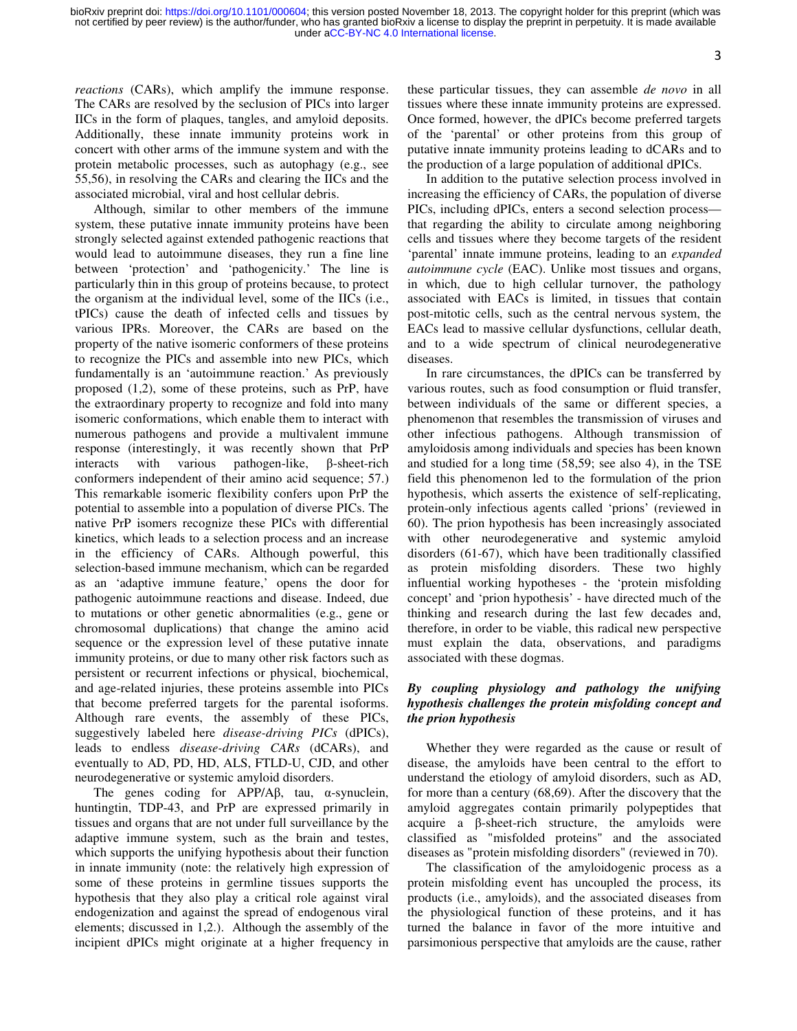3

*reactions* (CARs), which amplify the immune response. The CARs are resolved by the seclusion of PICs into larger IICs in the form of plaques, tangles, and amyloid deposits. Additionally, these innate immunity proteins work in concert with other arms of the immune system and with the protein metabolic processes, such as autophagy (e.g., see 55,56), in resolving the CARs and clearing the IICs and the associated microbial, viral and host cellular debris.

Although, similar to other members of the immune system, these putative innate immunity proteins have been strongly selected against extended pathogenic reactions that would lead to autoimmune diseases, they run a fine line between 'protection' and 'pathogenicity.' The line is particularly thin in this group of proteins because, to protect the organism at the individual level, some of the IICs (i.e., tPICs) cause the death of infected cells and tissues by various IPRs. Moreover, the CARs are based on the property of the native isomeric conformers of these proteins to recognize the PICs and assemble into new PICs, which fundamentally is an 'autoimmune reaction.' As previously proposed (1,2), some of these proteins, such as PrP, have the extraordinary property to recognize and fold into many isomeric conformations, which enable them to interact with numerous pathogens and provide a multivalent immune response (interestingly, it was recently shown that PrP interacts with various pathogen-like, β-sheet-rich conformers independent of their amino acid sequence; 57.) This remarkable isomeric flexibility confers upon PrP the potential to assemble into a population of diverse PICs. The native PrP isomers recognize these PICs with differential kinetics, which leads to a selection process and an increase in the efficiency of CARs. Although powerful, this selection-based immune mechanism, which can be regarded as an 'adaptive immune feature,' opens the door for pathogenic autoimmune reactions and disease. Indeed, due to mutations or other genetic abnormalities (e.g., gene or chromosomal duplications) that change the amino acid sequence or the expression level of these putative innate immunity proteins, or due to many other risk factors such as persistent or recurrent infections or physical, biochemical, and age-related injuries, these proteins assemble into PICs that become preferred targets for the parental isoforms. Although rare events, the assembly of these PICs, suggestively labeled here *disease-driving PICs* (dPICs), leads to endless *disease-driving CARs* (dCARs), and eventually to AD, PD, HD, ALS, FTLD-U, CJD, and other neurodegenerative or systemic amyloid disorders.

The genes coding for APP/Aβ, tau, α-synuclein, huntingtin, TDP-43, and PrP are expressed primarily in tissues and organs that are not under full surveillance by the adaptive immune system, such as the brain and testes, which supports the unifying hypothesis about their function in innate immunity (note: the relatively high expression of some of these proteins in germline tissues supports the hypothesis that they also play a critical role against viral endogenization and against the spread of endogenous viral elements; discussed in 1,2.). Although the assembly of the incipient dPICs might originate at a higher frequency in these particular tissues, they can assemble *de novo* in all tissues where these innate immunity proteins are expressed. Once formed, however, the dPICs become preferred targets of the 'parental' or other proteins from this group of putative innate immunity proteins leading to dCARs and to the production of a large population of additional dPICs.

In addition to the putative selection process involved in increasing the efficiency of CARs, the population of diverse PICs, including dPICs, enters a second selection process that regarding the ability to circulate among neighboring cells and tissues where they become targets of the resident 'parental' innate immune proteins, leading to an *expanded autoimmune cycle* (EAC). Unlike most tissues and organs, in which, due to high cellular turnover, the pathology associated with EACs is limited, in tissues that contain post-mitotic cells, such as the central nervous system, the EACs lead to massive cellular dysfunctions, cellular death, and to a wide spectrum of clinical neurodegenerative diseases.

In rare circumstances, the dPICs can be transferred by various routes, such as food consumption or fluid transfer, between individuals of the same or different species, a phenomenon that resembles the transmission of viruses and other infectious pathogens. Although transmission of amyloidosis among individuals and species has been known and studied for a long time (58,59; see also 4), in the TSE field this phenomenon led to the formulation of the prion hypothesis, which asserts the existence of self-replicating, protein-only infectious agents called 'prions' (reviewed in 60). The prion hypothesis has been increasingly associated with other neurodegenerative and systemic amyloid disorders (61-67), which have been traditionally classified as protein misfolding disorders. These two highly influential working hypotheses - the 'protein misfolding concept' and 'prion hypothesis' - have directed much of the thinking and research during the last few decades and, therefore, in order to be viable, this radical new perspective must explain the data, observations, and paradigms associated with these dogmas.

# *By coupling physiology and pathology the unifying hypothesis challenges the protein misfolding concept and the prion hypothesis*

Whether they were regarded as the cause or result of disease, the amyloids have been central to the effort to understand the etiology of amyloid disorders, such as AD, for more than a century (68,69). After the discovery that the amyloid aggregates contain primarily polypeptides that acquire a  $\beta$ -sheet-rich structure, the amyloids were classified as "misfolded proteins" and the associated diseases as "protein misfolding disorders" (reviewed in 70).

The classification of the amyloidogenic process as a protein misfolding event has uncoupled the process, its products (i.e., amyloids), and the associated diseases from the physiological function of these proteins, and it has turned the balance in favor of the more intuitive and parsimonious perspective that amyloids are the cause, rather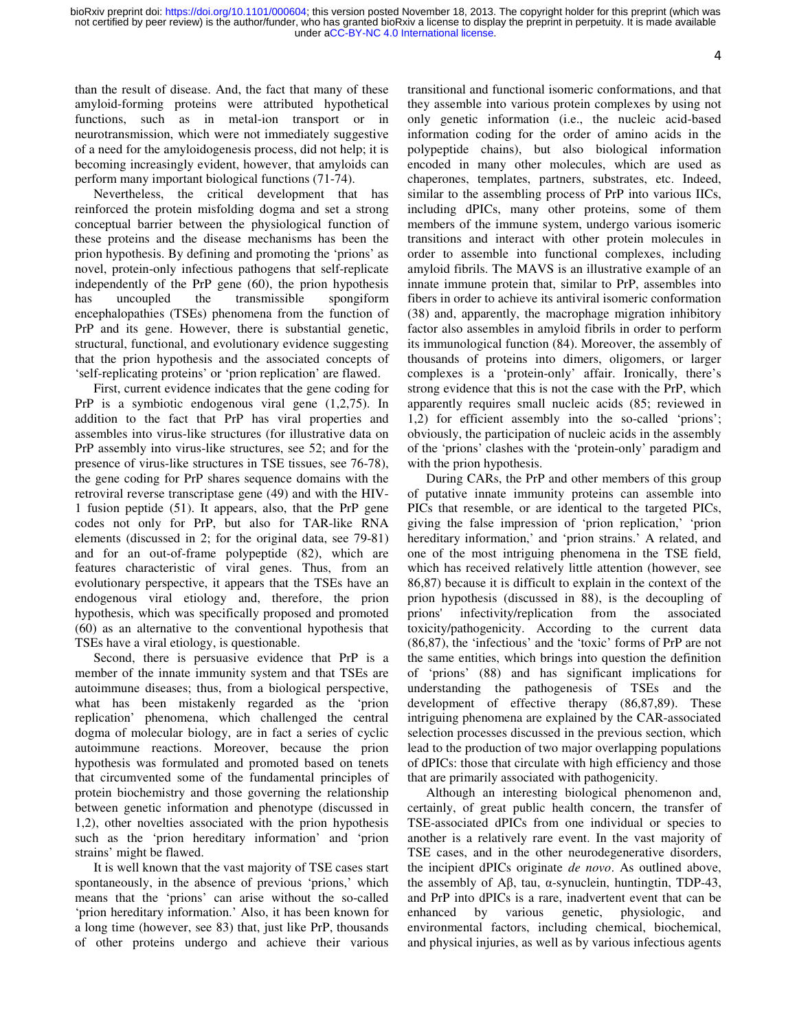4

than the result of disease. And, the fact that many of these amyloid-forming proteins were attributed hypothetical functions, such as in metal-ion transport or in neurotransmission, which were not immediately suggestive of a need for the amyloidogenesis process, did not help; it is becoming increasingly evident, however, that amyloids can perform many important biological functions (71-74).

Nevertheless, the critical development that has reinforced the protein misfolding dogma and set a strong conceptual barrier between the physiological function of these proteins and the disease mechanisms has been the prion hypothesis. By defining and promoting the 'prions' as novel, protein-only infectious pathogens that self-replicate independently of the PrP gene (60), the prion hypothesis has uncoupled the transmissible spongiform encephalopathies (TSEs) phenomena from the function of PrP and its gene. However, there is substantial genetic, structural, functional, and evolutionary evidence suggesting that the prion hypothesis and the associated concepts of 'self-replicating proteins' or 'prion replication' are flawed.

First, current evidence indicates that the gene coding for PrP is a symbiotic endogenous viral gene (1,2,75). In addition to the fact that PrP has viral properties and assembles into virus-like structures (for illustrative data on PrP assembly into virus-like structures, see 52; and for the presence of virus-like structures in TSE tissues, see 76-78), the gene coding for PrP shares sequence domains with the retroviral reverse transcriptase gene (49) and with the HIV-1 fusion peptide (51). It appears, also, that the PrP gene codes not only for PrP, but also for TAR-like RNA elements (discussed in 2; for the original data, see 79-81) and for an out-of-frame polypeptide (82), which are features characteristic of viral genes. Thus, from an evolutionary perspective, it appears that the TSEs have an endogenous viral etiology and, therefore, the prion hypothesis, which was specifically proposed and promoted (60) as an alternative to the conventional hypothesis that TSEs have a viral etiology, is questionable.

Second, there is persuasive evidence that PrP is a member of the innate immunity system and that TSEs are autoimmune diseases; thus, from a biological perspective, what has been mistakenly regarded as the 'prion replication' phenomena, which challenged the central dogma of molecular biology, are in fact a series of cyclic autoimmune reactions. Moreover, because the prion hypothesis was formulated and promoted based on tenets that circumvented some of the fundamental principles of protein biochemistry and those governing the relationship between genetic information and phenotype (discussed in 1,2), other novelties associated with the prion hypothesis such as the 'prion hereditary information' and 'prion strains' might be flawed.

It is well known that the vast majority of TSE cases start spontaneously, in the absence of previous 'prions,' which means that the 'prions' can arise without the so-called 'prion hereditary information.' Also, it has been known for a long time (however, see 83) that, just like PrP, thousands of other proteins undergo and achieve their various transitional and functional isomeric conformations, and that they assemble into various protein complexes by using not only genetic information (i.e., the nucleic acid-based information coding for the order of amino acids in the polypeptide chains), but also biological information encoded in many other molecules, which are used as chaperones, templates, partners, substrates, etc. Indeed, similar to the assembling process of PrP into various IICs, including dPICs, many other proteins, some of them members of the immune system, undergo various isomeric transitions and interact with other protein molecules in order to assemble into functional complexes, including amyloid fibrils. The MAVS is an illustrative example of an innate immune protein that, similar to PrP, assembles into fibers in order to achieve its antiviral isomeric conformation (38) and, apparently, the macrophage migration inhibitory factor also assembles in amyloid fibrils in order to perform its immunological function (84). Moreover, the assembly of thousands of proteins into dimers, oligomers, or larger complexes is a 'protein-only' affair. Ironically, there's strong evidence that this is not the case with the PrP, which apparently requires small nucleic acids (85; reviewed in 1,2) for efficient assembly into the so-called 'prions'; obviously, the participation of nucleic acids in the assembly of the 'prions' clashes with the 'protein-only' paradigm and with the prion hypothesis.

During CARs, the PrP and other members of this group of putative innate immunity proteins can assemble into PICs that resemble, or are identical to the targeted PICs, giving the false impression of 'prion replication,' 'prion hereditary information,' and 'prion strains.' A related, and one of the most intriguing phenomena in the TSE field, which has received relatively little attention (however, see 86,87) because it is difficult to explain in the context of the prion hypothesis (discussed in 88), is the decoupling of prions' infectivity/replication from the associated toxicity/pathogenicity. According to the current data (86,87), the 'infectious' and the 'toxic' forms of PrP are not the same entities, which brings into question the definition of 'prions' (88) and has significant implications for understanding the pathogenesis of TSEs and the development of effective therapy (86,87,89). These intriguing phenomena are explained by the CAR-associated selection processes discussed in the previous section, which lead to the production of two major overlapping populations of dPICs: those that circulate with high efficiency and those that are primarily associated with pathogenicity.

Although an interesting biological phenomenon and, certainly, of great public health concern, the transfer of TSE-associated dPICs from one individual or species to another is a relatively rare event. In the vast majority of TSE cases, and in the other neurodegenerative disorders, the incipient dPICs originate *de novo*. As outlined above, the assembly of Aβ, tau, α-synuclein, huntingtin, TDP-43, and PrP into dPICs is a rare, inadvertent event that can be enhanced by various genetic, physiologic, and environmental factors, including chemical, biochemical, and physical injuries, as well as by various infectious agents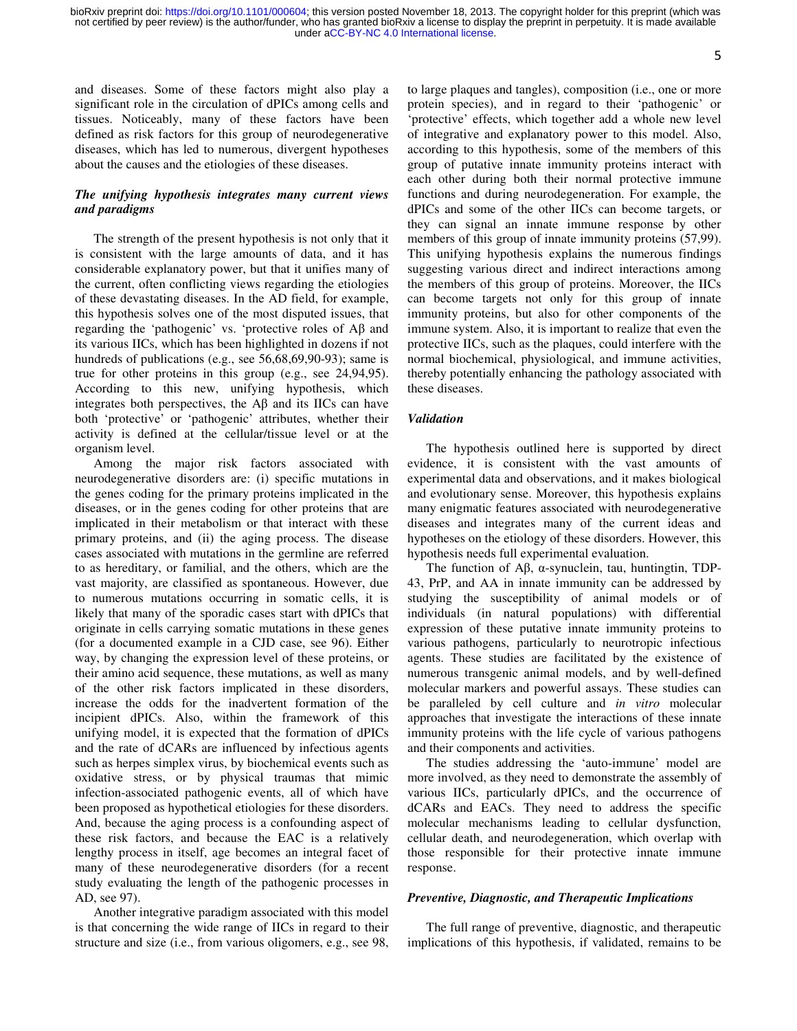and diseases. Some of these factors might also play a significant role in the circulation of dPICs among cells and tissues. Noticeably, many of these factors have been defined as risk factors for this group of neurodegenerative diseases, which has led to numerous, divergent hypotheses about the causes and the etiologies of these diseases.

# *The unifying hypothesis integrates many current views and paradigms*

The strength of the present hypothesis is not only that it is consistent with the large amounts of data, and it has considerable explanatory power, but that it unifies many of the current, often conflicting views regarding the etiologies of these devastating diseases. In the AD field, for example, this hypothesis solves one of the most disputed issues, that regarding the 'pathogenic' vs. 'protective roles of Aβ and its various IICs, which has been highlighted in dozens if not hundreds of publications (e.g., see 56,68,69,90-93); same is true for other proteins in this group (e.g., see 24,94,95). According to this new, unifying hypothesis, which integrates both perspectives, the  $\overrightarrow{AB}$  and its IICs can have both 'protective' or 'pathogenic' attributes, whether their activity is defined at the cellular/tissue level or at the organism level.

Among the major risk factors associated with neurodegenerative disorders are: (i) specific mutations in the genes coding for the primary proteins implicated in the diseases, or in the genes coding for other proteins that are implicated in their metabolism or that interact with these primary proteins, and (ii) the aging process. The disease cases associated with mutations in the germline are referred to as hereditary, or familial, and the others, which are the vast majority, are classified as spontaneous. However, due to numerous mutations occurring in somatic cells, it is likely that many of the sporadic cases start with dPICs that originate in cells carrying somatic mutations in these genes (for a documented example in a CJD case, see 96). Either way, by changing the expression level of these proteins, or their amino acid sequence, these mutations, as well as many of the other risk factors implicated in these disorders, increase the odds for the inadvertent formation of the incipient dPICs. Also, within the framework of this unifying model, it is expected that the formation of dPICs and the rate of dCARs are influenced by infectious agents such as herpes simplex virus, by biochemical events such as oxidative stress, or by physical traumas that mimic infection-associated pathogenic events, all of which have been proposed as hypothetical etiologies for these disorders. And, because the aging process is a confounding aspect of these risk factors, and because the EAC is a relatively lengthy process in itself, age becomes an integral facet of many of these neurodegenerative disorders (for a recent study evaluating the length of the pathogenic processes in AD, see 97).

Another integrative paradigm associated with this model is that concerning the wide range of IICs in regard to their structure and size (i.e., from various oligomers, e.g., see 98,

to large plaques and tangles), composition (i.e., one or more protein species), and in regard to their 'pathogenic' or 'protective' effects, which together add a whole new level of integrative and explanatory power to this model. Also, according to this hypothesis, some of the members of this group of putative innate immunity proteins interact with each other during both their normal protective immune functions and during neurodegeneration. For example, the dPICs and some of the other IICs can become targets, or they can signal an innate immune response by other members of this group of innate immunity proteins  $(57,99)$ . This unifying hypothesis explains the numerous findings suggesting various direct and indirect interactions among the members of this group of proteins. Moreover, the IICs can become targets not only for this group of innate immunity proteins, but also for other components of the immune system. Also, it is important to realize that even the protective IICs, such as the plaques, could interfere with the normal biochemical, physiological, and immune activities, thereby potentially enhancing the pathology associated with these diseases.

#### *Validation*

The hypothesis outlined here is supported by direct evidence, it is consistent with the vast amounts of experimental data and observations, and it makes biological and evolutionary sense. Moreover, this hypothesis explains many enigmatic features associated with neurodegenerative diseases and integrates many of the current ideas and hypotheses on the etiology of these disorders. However, this hypothesis needs full experimental evaluation.

The function of Aβ, α-synuclein, tau, huntingtin, TDP-43, PrP, and AA in innate immunity can be addressed by studying the susceptibility of animal models or of individuals (in natural populations) with differential expression of these putative innate immunity proteins to various pathogens, particularly to neurotropic infectious agents. These studies are facilitated by the existence of numerous transgenic animal models, and by well-defined molecular markers and powerful assays. These studies can be paralleled by cell culture and *in vitro* molecular approaches that investigate the interactions of these innate immunity proteins with the life cycle of various pathogens and their components and activities.

The studies addressing the 'auto-immune' model are more involved, as they need to demonstrate the assembly of various IICs, particularly dPICs, and the occurrence of dCARs and EACs. They need to address the specific molecular mechanisms leading to cellular dysfunction, cellular death, and neurodegeneration, which overlap with those responsible for their protective innate immune response.

#### *Preventive, Diagnostic, and Therapeutic Implications*

The full range of preventive, diagnostic, and therapeutic implications of this hypothesis, if validated, remains to be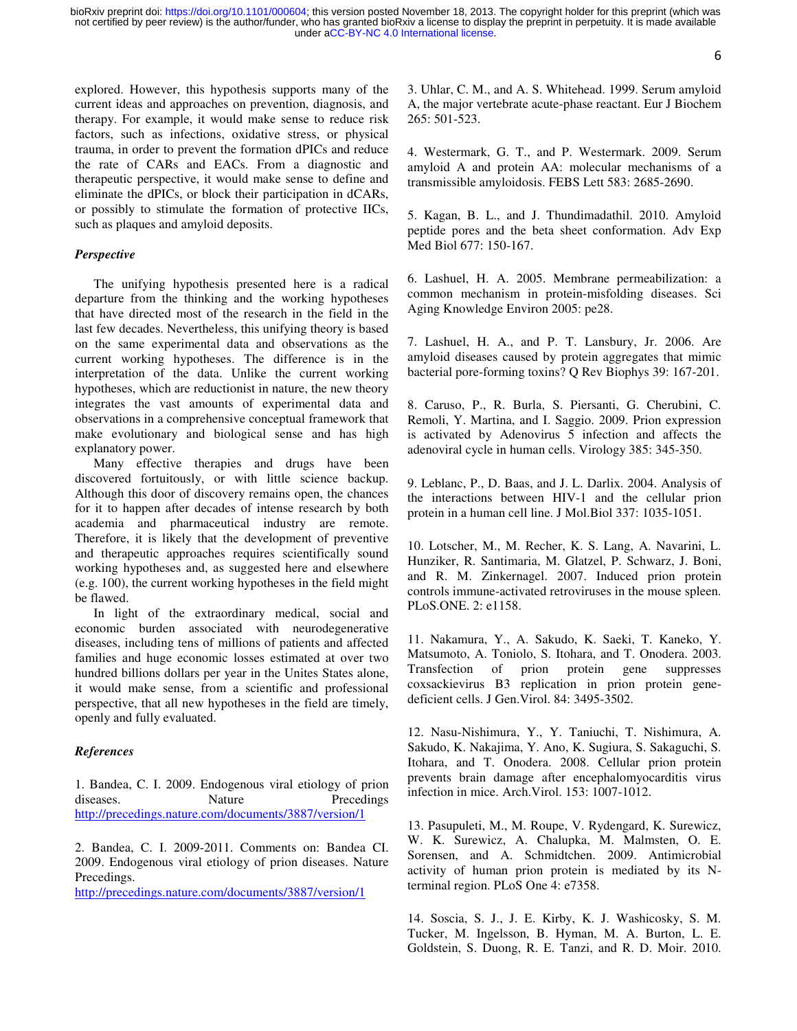6

explored. However, this hypothesis supports many of the current ideas and approaches on prevention, diagnosis, and therapy. For example, it would make sense to reduce risk factors, such as infections, oxidative stress, or physical trauma, in order to prevent the formation dPICs and reduce the rate of CARs and EACs. From a diagnostic and therapeutic perspective, it would make sense to define and eliminate the dPICs, or block their participation in dCARs, or possibly to stimulate the formation of protective IICs, such as plaques and amyloid deposits.

### *Perspective*

The unifying hypothesis presented here is a radical departure from the thinking and the working hypotheses that have directed most of the research in the field in the last few decades. Nevertheless, this unifying theory is based on the same experimental data and observations as the current working hypotheses. The difference is in the interpretation of the data. Unlike the current working hypotheses, which are reductionist in nature, the new theory integrates the vast amounts of experimental data and observations in a comprehensive conceptual framework that make evolutionary and biological sense and has high explanatory power.

Many effective therapies and drugs have been discovered fortuitously, or with little science backup. Although this door of discovery remains open, the chances for it to happen after decades of intense research by both academia and pharmaceutical industry are remote. Therefore, it is likely that the development of preventive and therapeutic approaches requires scientifically sound working hypotheses and, as suggested here and elsewhere (e.g. 100), the current working hypotheses in the field might be flawed.

In light of the extraordinary medical, social and economic burden associated with neurodegenerative diseases, including tens of millions of patients and affected families and huge economic losses estimated at over two hundred billions dollars per year in the Unites States alone, it would make sense, from a scientific and professional perspective, that all new hypotheses in the field are timely, openly and fully evaluated.

#### *References*

1. Bandea, C. I. 2009. Endogenous viral etiology of prion diseases. Nature Precedings http://precedings.nature.com/documents/3887/version/1

2. Bandea, C. I. 2009-2011. Comments on: Bandea CI. 2009. Endogenous viral etiology of prion diseases. Nature Precedings.

http://precedings.nature.com/documents/3887/version/1

3. Uhlar, C. M., and A. S. Whitehead. 1999. Serum amyloid A, the major vertebrate acute-phase reactant. Eur J Biochem 265: 501-523.

4. Westermark, G. T., and P. Westermark. 2009. Serum amyloid A and protein AA: molecular mechanisms of a transmissible amyloidosis. FEBS Lett 583: 2685-2690.

5. Kagan, B. L., and J. Thundimadathil. 2010. Amyloid peptide pores and the beta sheet conformation. Adv Exp Med Biol 677: 150-167.

6. Lashuel, H. A. 2005. Membrane permeabilization: a common mechanism in protein-misfolding diseases. Sci Aging Knowledge Environ 2005: pe28.

7. Lashuel, H. A., and P. T. Lansbury, Jr. 2006. Are amyloid diseases caused by protein aggregates that mimic bacterial pore-forming toxins? Q Rev Biophys 39: 167-201.

8. Caruso, P., R. Burla, S. Piersanti, G. Cherubini, C. Remoli, Y. Martina, and I. Saggio. 2009. Prion expression is activated by Adenovirus 5 infection and affects the adenoviral cycle in human cells. Virology 385: 345-350.

9. Leblanc, P., D. Baas, and J. L. Darlix. 2004. Analysis of the interactions between HIV-1 and the cellular prion protein in a human cell line. J Mol.Biol 337: 1035-1051.

10. Lotscher, M., M. Recher, K. S. Lang, A. Navarini, L. Hunziker, R. Santimaria, M. Glatzel, P. Schwarz, J. Boni, and R. M. Zinkernagel. 2007. Induced prion protein controls immune-activated retroviruses in the mouse spleen. PLoS.ONE. 2: e1158.

11. Nakamura, Y., A. Sakudo, K. Saeki, T. Kaneko, Y. Matsumoto, A. Toniolo, S. Itohara, and T. Onodera. 2003. Transfection of prion protein gene suppresses coxsackievirus B3 replication in prion protein genedeficient cells. J Gen.Virol. 84: 3495-3502.

12. Nasu-Nishimura, Y., Y. Taniuchi, T. Nishimura, A. Sakudo, K. Nakajima, Y. Ano, K. Sugiura, S. Sakaguchi, S. Itohara, and T. Onodera. 2008. Cellular prion protein prevents brain damage after encephalomyocarditis virus infection in mice. Arch.Virol. 153: 1007-1012.

13. Pasupuleti, M., M. Roupe, V. Rydengard, K. Surewicz, W. K. Surewicz, A. Chalupka, M. Malmsten, O. E. Sorensen, and A. Schmidtchen. 2009. Antimicrobial activity of human prion protein is mediated by its Nterminal region. PLoS One 4: e7358.

14. Soscia, S. J., J. E. Kirby, K. J. Washicosky, S. M. Tucker, M. Ingelsson, B. Hyman, M. A. Burton, L. E. Goldstein, S. Duong, R. E. Tanzi, and R. D. Moir. 2010.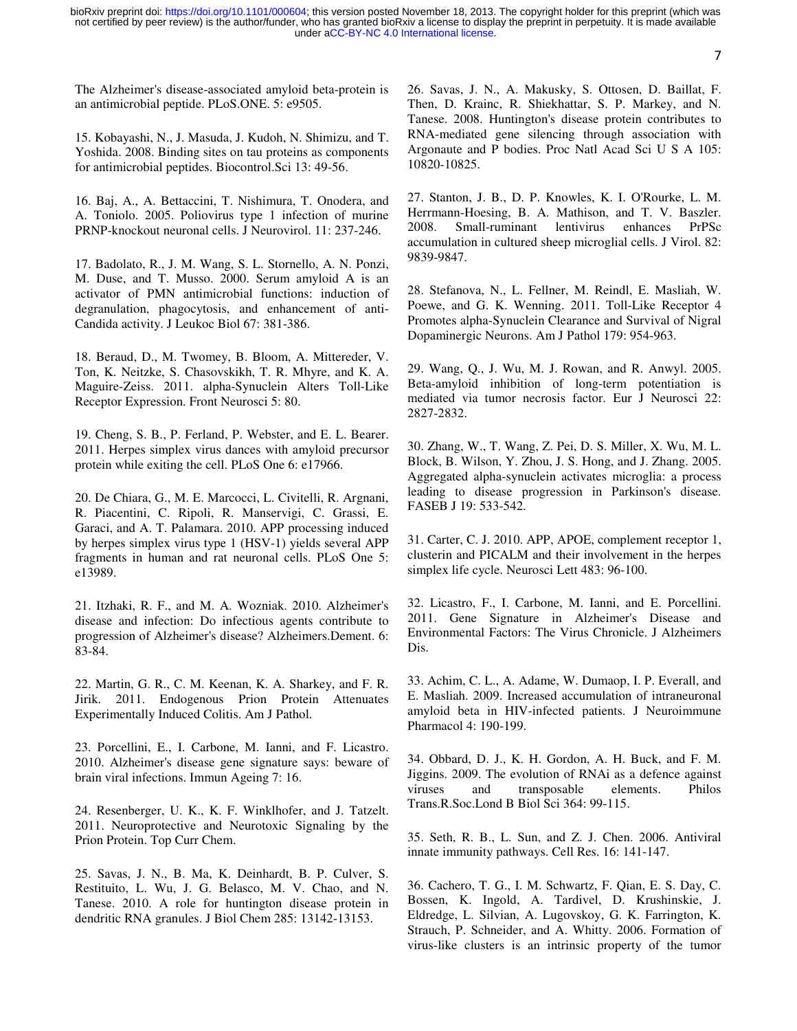7

The Alzheimer's disease-associated amyloid beta-protein is an antimicrobial peptide. PLoS.ONE. 5: e9505.

15. Kobayashi, N., J. Masuda, J. Kudoh, N. Shimizu, and T. Yoshida. 2008. Binding sites on tau proteins as components for antimicrobial peptides. Biocontrol.Sci 13: 49-56.

16. Baj, A., A. Bettaccini, T. Nishimura, T. Onodera, and A. Toniolo. 2005. Poliovirus type 1 infection of murine PRNP-knockout neuronal cells. J Neurovirol. 11: 237-246.

17. Badolato, R., J. M. Wang, S. L. Stornello, A. N. Ponzi, M. Duse, and T. Musso. 2000. Serum amyloid A is an activator of PMN antimicrobial functions: induction of degranulation, phagocytosis, and enhancement of anti-Candida activity. J Leukoc Biol 67: 381-386.

18. Beraud, D., M. Twomey, B. Bloom, A. Mittereder, V. Ton, K. Neitzke, S. Chasovskikh, T. R. Mhyre, and K. A. Maguire-Zeiss. 2011. alpha-Synuclein Alters Toll-Like Receptor Expression. Front Neurosci 5: 80.

19. Cheng, S. B., P. Ferland, P. Webster, and E. L. Bearer. 2011. Herpes simplex virus dances with amyloid precursor protein while exiting the cell. PLoS One 6: e17966.

20. De Chiara, G., M. E. Marcocci, L. Civitelli, R. Argnani, R. Piacentini, C. Ripoli, R. Manservigi, C. Grassi, E. Garaci, and A. T. Palamara. 2010. APP processing induced by herpes simplex virus type 1 (HSV-1) yields several APP fragments in human and rat neuronal cells. PLoS One 5: e13989.

21. Itzhaki, R. F., and M. A. Wozniak. 2010. Alzheimer's disease and infection: Do infectious agents contribute to progression of Alzheimer's disease? Alzheimers.Dement. 6: 83-84.

22. Martin, G. R., C. M. Keenan, K. A. Sharkey, and F. R. Jirik. 2011. Endogenous Prion Protein Attenuates Experimentally Induced Colitis. Am J Pathol.

23. Porcellini, E., I. Carbone, M. Ianni, and F. Licastro. 2010. Alzheimer's disease gene signature says: beware of brain viral infections. Immun Ageing 7: 16.

24. Resenberger, U. K., K. F. Winklhofer, and J. Tatzelt. 2011. Neuroprotective and Neurotoxic Signaling by the Prion Protein. Top Curr Chem.

25. Savas, J. N., B. Ma, K. Deinhardt, B. P. Culver, S. Restituito, L. Wu, J. G. Belasco, M. V. Chao, and N. Tanese. 2010. A role for huntington disease protein in dendritic RNA granules. J Biol Chem 285: 13142-13153.

26. Savas, J. N., A. Makusky, S. Ottosen, D. Baillat, F. Then, D. Krainc, R. Shiekhattar, S. P. Markey, and N. Tanese. 2008. Huntington's disease protein contributes to RNA-mediated gene silencing through association with Argonaute and P bodies. Proc Natl Acad Sci U S A 105: 10820-10825.

27. Stanton, J. B., D. P. Knowles, K. I. O'Rourke, L. M. Herrmann-Hoesing, B. A. Mathison, and T. V. Baszler. 2008. Small-ruminant lentivirus enhances PrPSc accumulation in cultured sheep microglial cells. J Virol. 82: 9839-9847.

28. Stefanova, N., L. Fellner, M. Reindl, E. Masliah, W. Poewe, and G. K. Wenning. 2011. Toll-Like Receptor 4 Promotes alpha-Synuclein Clearance and Survival of Nigral Dopaminergic Neurons. Am J Pathol 179: 954-963.

29. Wang, Q., J. Wu, M. J. Rowan, and R. Anwyl. 2005. Beta-amyloid inhibition of long-term potentiation is mediated via tumor necrosis factor. Eur J Neurosci 22: 2827-2832.

30. Zhang, W., T. Wang, Z. Pei, D. S. Miller, X. Wu, M. L. Block, B. Wilson, Y. Zhou, J. S. Hong, and J. Zhang. 2005. Aggregated alpha-synuclein activates microglia: a process leading to disease progression in Parkinson's disease. FASEB J 19: 533-542.

31. Carter, C. J. 2010. APP, APOE, complement receptor 1, clusterin and PICALM and their involvement in the herpes simplex life cycle. Neurosci Lett 483: 96-100.

32. Licastro, F., I. Carbone, M. Ianni, and E. Porcellini. 2011. Gene Signature in Alzheimer's Disease and Environmental Factors: The Virus Chronicle. J Alzheimers Dis.

33. Achim, C. L., A. Adame, W. Dumaop, I. P. Everall, and E. Masliah. 2009. Increased accumulation of intraneuronal amyloid beta in HIV-infected patients. J Neuroimmune Pharmacol 4: 190-199.

34. Obbard, D. J., K. H. Gordon, A. H. Buck, and F. M. Jiggins. 2009. The evolution of RNAi as a defence against viruses and transposable elements. Philos Trans.R.Soc.Lond B Biol Sci 364: 99-115.

35. Seth, R. B., L. Sun, and Z. J. Chen. 2006. Antiviral innate immunity pathways. Cell Res. 16: 141-147.

36. Cachero, T. G., I. M. Schwartz, F. Qian, E. S. Day, C. Bossen, K. Ingold, A. Tardivel, D. Krushinskie, J. Eldredge, L. Silvian, A. Lugovskoy, G. K. Farrington, K. Strauch, P. Schneider, and A. Whitty. 2006. Formation of virus-like clusters is an intrinsic property of the tumor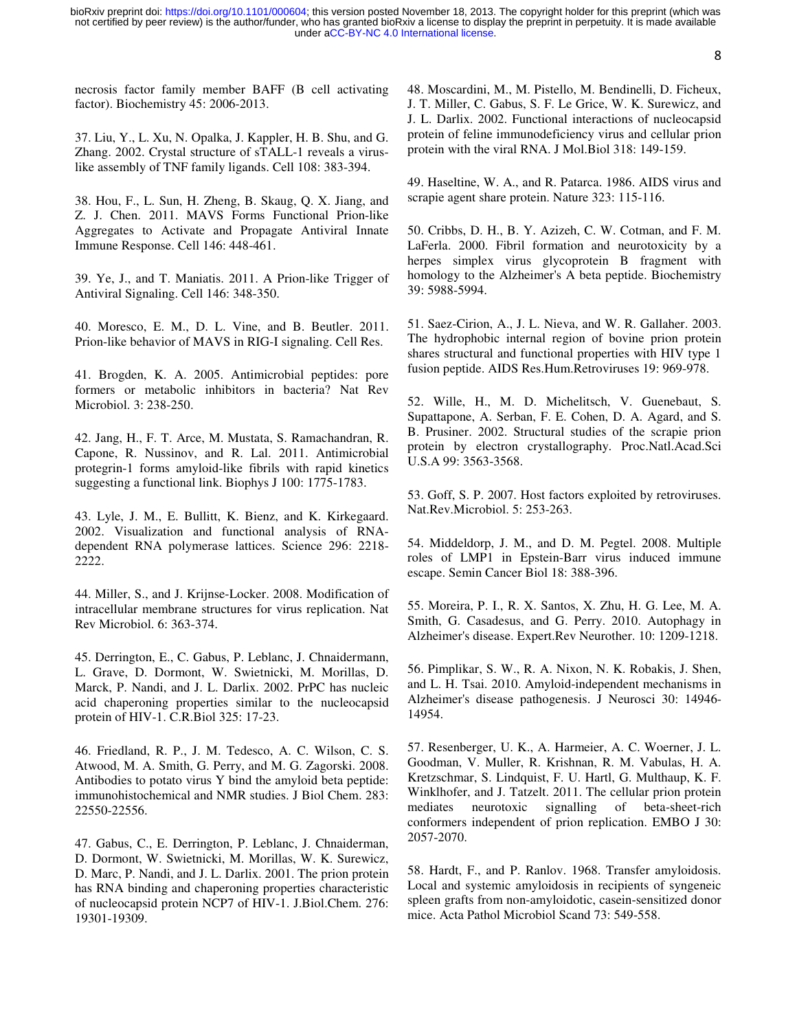8

necrosis factor family member BAFF (B cell activating factor). Biochemistry 45: 2006-2013.

37. Liu, Y., L. Xu, N. Opalka, J. Kappler, H. B. Shu, and G. Zhang. 2002. Crystal structure of sTALL-1 reveals a viruslike assembly of TNF family ligands. Cell 108: 383-394.

38. Hou, F., L. Sun, H. Zheng, B. Skaug, Q. X. Jiang, and Z. J. Chen. 2011. MAVS Forms Functional Prion-like Aggregates to Activate and Propagate Antiviral Innate Immune Response. Cell 146: 448-461.

39. Ye, J., and T. Maniatis. 2011. A Prion-like Trigger of Antiviral Signaling. Cell 146: 348-350.

40. Moresco, E. M., D. L. Vine, and B. Beutler. 2011. Prion-like behavior of MAVS in RIG-I signaling. Cell Res.

41. Brogden, K. A. 2005. Antimicrobial peptides: pore formers or metabolic inhibitors in bacteria? Nat Rev Microbiol. 3: 238-250.

42. Jang, H., F. T. Arce, M. Mustata, S. Ramachandran, R. Capone, R. Nussinov, and R. Lal. 2011. Antimicrobial protegrin-1 forms amyloid-like fibrils with rapid kinetics suggesting a functional link. Biophys J 100: 1775-1783.

43. Lyle, J. M., E. Bullitt, K. Bienz, and K. Kirkegaard. 2002. Visualization and functional analysis of RNAdependent RNA polymerase lattices. Science 296: 2218- 2222.

44. Miller, S., and J. Krijnse-Locker. 2008. Modification of intracellular membrane structures for virus replication. Nat Rev Microbiol. 6: 363-374.

45. Derrington, E., C. Gabus, P. Leblanc, J. Chnaidermann, L. Grave, D. Dormont, W. Swietnicki, M. Morillas, D. Marck, P. Nandi, and J. L. Darlix. 2002. PrPC has nucleic acid chaperoning properties similar to the nucleocapsid protein of HIV-1. C.R.Biol 325: 17-23.

46. Friedland, R. P., J. M. Tedesco, A. C. Wilson, C. S. Atwood, M. A. Smith, G. Perry, and M. G. Zagorski. 2008. Antibodies to potato virus Y bind the amyloid beta peptide: immunohistochemical and NMR studies. J Biol Chem. 283: 22550-22556.

47. Gabus, C., E. Derrington, P. Leblanc, J. Chnaiderman, D. Dormont, W. Swietnicki, M. Morillas, W. K. Surewicz, D. Marc, P. Nandi, and J. L. Darlix. 2001. The prion protein has RNA binding and chaperoning properties characteristic of nucleocapsid protein NCP7 of HIV-1. J.Biol.Chem. 276: 19301-19309.

48. Moscardini, M., M. Pistello, M. Bendinelli, D. Ficheux, J. T. Miller, C. Gabus, S. F. Le Grice, W. K. Surewicz, and J. L. Darlix. 2002. Functional interactions of nucleocapsid protein of feline immunodeficiency virus and cellular prion protein with the viral RNA. J Mol.Biol 318: 149-159.

49. Haseltine, W. A., and R. Patarca. 1986. AIDS virus and scrapie agent share protein. Nature 323: 115-116.

50. Cribbs, D. H., B. Y. Azizeh, C. W. Cotman, and F. M. LaFerla. 2000. Fibril formation and neurotoxicity by a herpes simplex virus glycoprotein B fragment with homology to the Alzheimer's A beta peptide. Biochemistry 39: 5988-5994.

51. Saez-Cirion, A., J. L. Nieva, and W. R. Gallaher. 2003. The hydrophobic internal region of bovine prion protein shares structural and functional properties with HIV type 1 fusion peptide. AIDS Res.Hum.Retroviruses 19: 969-978.

52. Wille, H., M. D. Michelitsch, V. Guenebaut, S. Supattapone, A. Serban, F. E. Cohen, D. A. Agard, and S. B. Prusiner. 2002. Structural studies of the scrapie prion protein by electron crystallography. Proc.Natl.Acad.Sci U.S.A 99: 3563-3568.

53. Goff, S. P. 2007. Host factors exploited by retroviruses. Nat.Rev.Microbiol. 5: 253-263.

54. Middeldorp, J. M., and D. M. Pegtel. 2008. Multiple roles of LMP1 in Epstein-Barr virus induced immune escape. Semin Cancer Biol 18: 388-396.

55. Moreira, P. I., R. X. Santos, X. Zhu, H. G. Lee, M. A. Smith, G. Casadesus, and G. Perry. 2010. Autophagy in Alzheimer's disease. Expert.Rev Neurother. 10: 1209-1218.

56. Pimplikar, S. W., R. A. Nixon, N. K. Robakis, J. Shen, and L. H. Tsai. 2010. Amyloid-independent mechanisms in Alzheimer's disease pathogenesis. J Neurosci 30: 14946- 14954.

57. Resenberger, U. K., A. Harmeier, A. C. Woerner, J. L. Goodman, V. Muller, R. Krishnan, R. M. Vabulas, H. A. Kretzschmar, S. Lindquist, F. U. Hartl, G. Multhaup, K. F. Winklhofer, and J. Tatzelt. 2011. The cellular prion protein mediates neurotoxic signalling of beta-sheet-rich conformers independent of prion replication. EMBO J 30: 2057-2070.

58. Hardt, F., and P. Ranlov. 1968. Transfer amyloidosis. Local and systemic amyloidosis in recipients of syngeneic spleen grafts from non-amyloidotic, casein-sensitized donor mice. Acta Pathol Microbiol Scand 73: 549-558.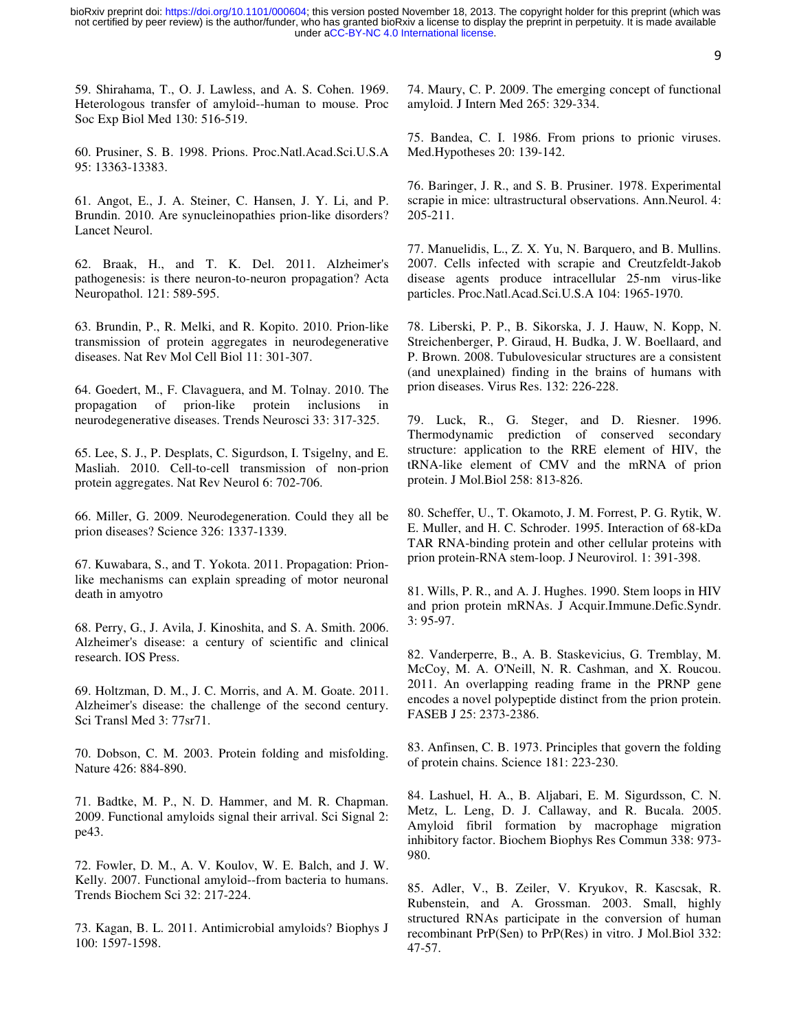9

59. Shirahama, T., O. J. Lawless, and A. S. Cohen. 1969. Heterologous transfer of amyloid--human to mouse. Proc Soc Exp Biol Med 130: 516-519.

60. Prusiner, S. B. 1998. Prions. Proc.Natl.Acad.Sci.U.S.A 95: 13363-13383.

61. Angot, E., J. A. Steiner, C. Hansen, J. Y. Li, and P. Brundin. 2010. Are synucleinopathies prion-like disorders? Lancet Neurol.

62. Braak, H., and T. K. Del. 2011. Alzheimer's pathogenesis: is there neuron-to-neuron propagation? Acta Neuropathol. 121: 589-595.

63. Brundin, P., R. Melki, and R. Kopito. 2010. Prion-like transmission of protein aggregates in neurodegenerative diseases. Nat Rev Mol Cell Biol 11: 301-307.

64. Goedert, M., F. Clavaguera, and M. Tolnay. 2010. The propagation of prion-like protein inclusions in neurodegenerative diseases. Trends Neurosci 33: 317-325.

65. Lee, S. J., P. Desplats, C. Sigurdson, I. Tsigelny, and E. Masliah. 2010. Cell-to-cell transmission of non-prion protein aggregates. Nat Rev Neurol 6: 702-706.

66. Miller, G. 2009. Neurodegeneration. Could they all be prion diseases? Science 326: 1337-1339.

67. Kuwabara, S., and T. Yokota. 2011. Propagation: Prionlike mechanisms can explain spreading of motor neuronal death in amyotro

68. Perry, G., J. Avila, J. Kinoshita, and S. A. Smith. 2006. Alzheimer's disease: a century of scientific and clinical research. IOS Press.

69. Holtzman, D. M., J. C. Morris, and A. M. Goate. 2011. Alzheimer's disease: the challenge of the second century. Sci Transl Med 3: 77sr71.

70. Dobson, C. M. 2003. Protein folding and misfolding. Nature 426: 884-890.

71. Badtke, M. P., N. D. Hammer, and M. R. Chapman. 2009. Functional amyloids signal their arrival. Sci Signal 2: pe43.

72. Fowler, D. M., A. V. Koulov, W. E. Balch, and J. W. Kelly. 2007. Functional amyloid--from bacteria to humans. Trends Biochem Sci 32: 217-224.

73. Kagan, B. L. 2011. Antimicrobial amyloids? Biophys J 100: 1597-1598.

74. Maury, C. P. 2009. The emerging concept of functional amyloid. J Intern Med 265: 329-334.

75. Bandea, C. I. 1986. From prions to prionic viruses. Med.Hypotheses 20: 139-142.

76. Baringer, J. R., and S. B. Prusiner. 1978. Experimental scrapie in mice: ultrastructural observations. Ann.Neurol. 4: 205-211.

77. Manuelidis, L., Z. X. Yu, N. Barquero, and B. Mullins. 2007. Cells infected with scrapie and Creutzfeldt-Jakob disease agents produce intracellular 25-nm virus-like particles. Proc.Natl.Acad.Sci.U.S.A 104: 1965-1970.

78. Liberski, P. P., B. Sikorska, J. J. Hauw, N. Kopp, N. Streichenberger, P. Giraud, H. Budka, J. W. Boellaard, and P. Brown. 2008. Tubulovesicular structures are a consistent (and unexplained) finding in the brains of humans with prion diseases. Virus Res. 132: 226-228.

79. Luck, R., G. Steger, and D. Riesner. 1996. Thermodynamic prediction of conserved secondary structure: application to the RRE element of HIV, the tRNA-like element of CMV and the mRNA of prion protein. J Mol.Biol 258: 813-826.

80. Scheffer, U., T. Okamoto, J. M. Forrest, P. G. Rytik, W. E. Muller, and H. C. Schroder. 1995. Interaction of 68-kDa TAR RNA-binding protein and other cellular proteins with prion protein-RNA stem-loop. J Neurovirol. 1: 391-398.

81. Wills, P. R., and A. J. Hughes. 1990. Stem loops in HIV and prion protein mRNAs. J Acquir.Immune.Defic.Syndr. 3: 95-97.

82. Vanderperre, B., A. B. Staskevicius, G. Tremblay, M. McCoy, M. A. O'Neill, N. R. Cashman, and X. Roucou. 2011. An overlapping reading frame in the PRNP gene encodes a novel polypeptide distinct from the prion protein. FASEB J 25: 2373-2386.

83. Anfinsen, C. B. 1973. Principles that govern the folding of protein chains. Science 181: 223-230.

84. Lashuel, H. A., B. Aljabari, E. M. Sigurdsson, C. N. Metz, L. Leng, D. J. Callaway, and R. Bucala. 2005. Amyloid fibril formation by macrophage migration inhibitory factor. Biochem Biophys Res Commun 338: 973- 980.

85. Adler, V., B. Zeiler, V. Kryukov, R. Kascsak, R. Rubenstein, and A. Grossman. 2003. Small, highly structured RNAs participate in the conversion of human recombinant PrP(Sen) to PrP(Res) in vitro. J Mol.Biol 332: 47-57.